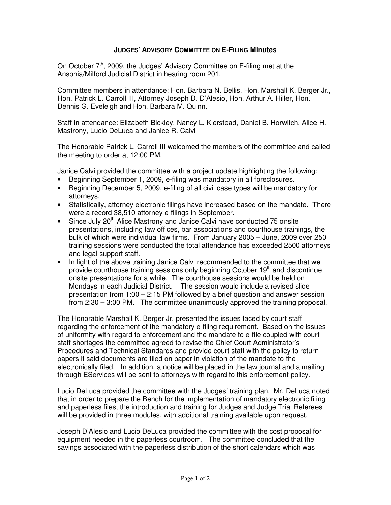## **JUDGES' ADVISORY COMMITTEE ON E-FILING Minutes**

On October 7<sup>th</sup>, 2009, the Judges' Advisory Committee on E-filing met at the Ansonia/Milford Judicial District in hearing room 201.

Committee members in attendance: Hon. Barbara N. Bellis, Hon. Marshall K. Berger Jr., Hon. Patrick L. Carroll III, Attorney Joseph D. D'Alesio, Hon. Arthur A. Hiller, Hon. Dennis G. Eveleigh and Hon. Barbara M. Quinn.

Staff in attendance: Elizabeth Bickley, Nancy L. Kierstead, Daniel B. Horwitch, Alice H. Mastrony, Lucio DeLuca and Janice R. Calvi

The Honorable Patrick L. Carroll III welcomed the members of the committee and called the meeting to order at 12:00 PM.

Janice Calvi provided the committee with a project update highlighting the following:

- Beginning September 1, 2009, e-filing was mandatory in all foreclosures.
- Beginning December 5, 2009, e-filing of all civil case types will be mandatory for attorneys.
- Statistically, attorney electronic filings have increased based on the mandate. There were a record 38,510 attorney e-filings in September.
- Since July 20<sup>th</sup> Alice Mastrony and Janice Calvi have conducted 75 onsite presentations, including law offices, bar associations and courthouse trainings, the bulk of which were individual law firms. From January 2005 – June, 2009 over 250 training sessions were conducted the total attendance has exceeded 2500 attorneys and legal support staff.
- In light of the above training Janice Calvi recommended to the committee that we provide courthouse training sessions only beginning October 19<sup>th</sup> and discontinue onsite presentations for a while. The courthouse sessions would be held on Mondays in each Judicial District. The session would include a revised slide presentation from 1:00 – 2:15 PM followed by a brief question and answer session from 2:30 – 3:00 PM. The committee unanimously approved the training proposal.

The Honorable Marshall K. Berger Jr. presented the issues faced by court staff regarding the enforcement of the mandatory e-filing requirement. Based on the issues of uniformity with regard to enforcement and the mandate to e-file coupled with court staff shortages the committee agreed to revise the Chief Court Administrator's Procedures and Technical Standards and provide court staff with the policy to return papers if said documents are filed on paper in violation of the mandate to the electronically filed. In addition, a notice will be placed in the law journal and a mailing through EServices will be sent to attorneys with regard to this enforcement policy.

Lucio DeLuca provided the committee with the Judges' training plan. Mr. DeLuca noted that in order to prepare the Bench for the implementation of mandatory electronic filing and paperless files, the introduction and training for Judges and Judge Trial Referees will be provided in three modules, with additional training available upon request.

Joseph D'Alesio and Lucio DeLuca provided the committee with the cost proposal for equipment needed in the paperless courtroom. The committee concluded that the savings associated with the paperless distribution of the short calendars which was